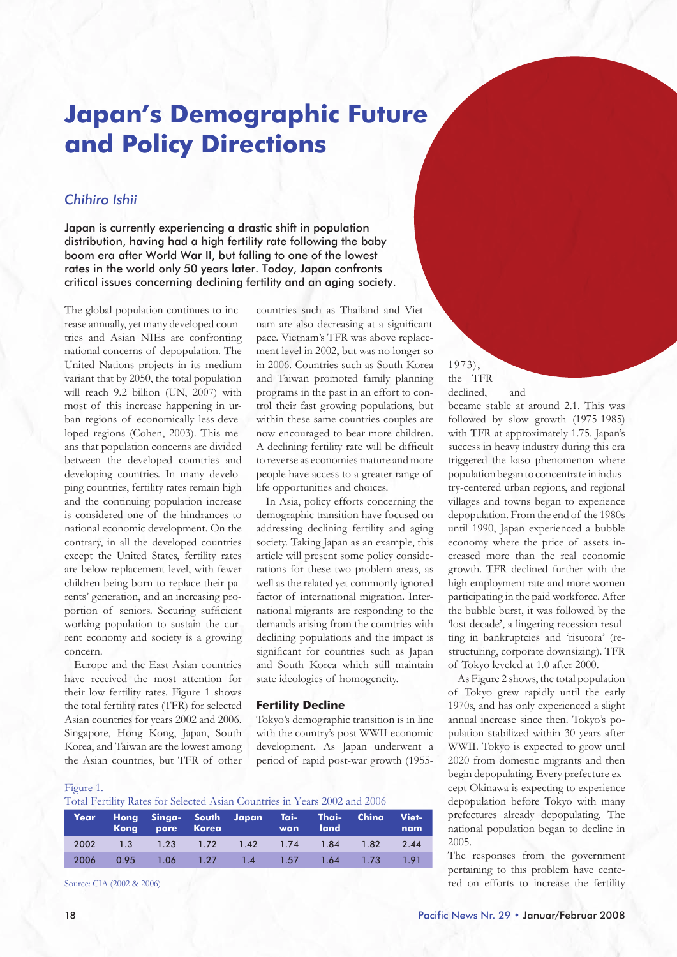# **Japan's Demographic Future and Policy Directions**

# *Chihiro Ishii*

Japan is currently experiencing a drastic shift in population distribution, having had a high fertility rate following the baby boom era after World War II, but falling to one of the lowest rates in the world only 50 years later. Today, Japan confronts critical issues concerning declining fertility and an aging society.

The global population continues to increase annually, yet many developed countries and Asian NIEs are confronting national concerns of depopulation. The United Nations projects in its medium variant that by 2050, the total population will reach 9.2 billion (UN, 2007) with most of this increase happening in urban regions of economically less-developed regions (Cohen, 2003). This means that population concerns are divided between the developed countries and developing countries. In many developing countries, fertility rates remain high and the continuing population increase is considered one of the hindrances to national economic development. On the contrary, in all the developed countries except the United States, fertility rates are below replacement level, with fewer children being born to replace their parents' generation, and an increasing proportion of seniors. Securing sufficient working population to sustain the current economy and society is a growing concern.

Europe and the East Asian countries have received the most attention for their low fertility rates. Figure 1 shows the total fertility rates (TFR) for selected Asian countries for years 2002 and 2006. Singapore, Hong Kong, Japan, South Korea, and Taiwan are the lowest among the Asian countries, but TFR of other

## countries such as Thailand and Vietnam are also decreasing at a significant pace. Vietnam's TFR was above replacement level in 2002, but was no longer so in 2006. Countries such as South Korea and Taiwan promoted family planning programs in the past in an effort to control their fast growing populations, but within these same countries couples are now encouraged to bear more children. A declining fertility rate will be difficult to reverse as economies mature and more people have access to a greater range of life opportunities and choices.

1973), the TFR declined, and

became stable at around 2.1. This was followed by slow growth (1975-1985) with TFR at approximately 1.75. Japan's success in heavy industry during this era triggered the kaso phenomenon where population began to concentrate in industry-centered urban regions, and regional villages and towns began to experience depopulation. From the end of the 1980s until 1990, Japan experienced a bubble economy where the price of assets increased more than the real economic growth. TFR declined further with the high employment rate and more women participating in the paid workforce. After the bubble burst, it was followed by the 'lost decade', a lingering recession resulting in bankruptcies and 'risutora' (restructuring, corporate downsizing). TFR of Tokyo leveled at 1.0 after 2000.

As Figure 2 shows, the total population of Tokyo grew rapidly until the early 1970s, and has only experienced a slight annual increase since then. Tokyo's population stabilized within 30 years after WWII. Tokyo is expected to grow until 2020 from domestic migrants and then begin depopulating. Every prefecture except Okinawa is expecting to experience depopulation before Tokyo with many prefectures already depopulating. The national population began to decline in

The responses from the government pertaining to this problem have centered on efforts to increase the fertility

In Asia, policy efforts concerning the demographic transition have focused on addressing declining fertility and aging society. Taking Japan as an example, this article will present some policy considerations for these two problem areas, as well as the related yet commonly ignored factor of international migration. International migrants are responding to the demands arising from the countries with declining populations and the impact is significant for countries such as Japan and South Korea which still maintain state ideologies of homogeneity.

### **Fertility Decline**

Tokyo's demographic transition is in line with the country's post WWII economic development. As Japan underwent a period of rapid post-war growth (1955-

#### Figure 1.

Total Fertility Rates for Selected Asian Countries in Years 2002 and 2006

| Year | Hong Singa- South Japan Tai- Thai- China Viet-<br>Kong pore Korea wan land |  |  | nam |
|------|----------------------------------------------------------------------------|--|--|-----|
|      | 2002 1.3 1.23 1.72 1.42 1.74 1.84 1.82 2.44                                |  |  |     |
| 2006 | 0.95 1.06 1.27 1.4 1.57 1.64 1.73 1.91                                     |  |  |     |
|      |                                                                            |  |  |     |

Source: CIA (2002 & 2006)

2005.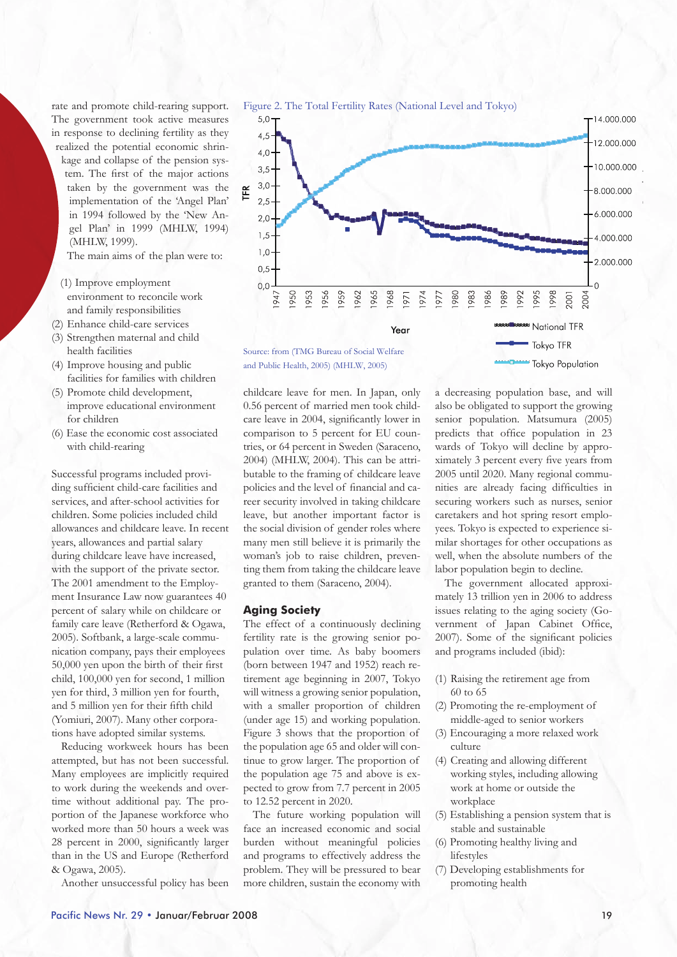rate and promote child-rearing support. The government took active measures in response to declining fertility as they realized the potential economic shrinkage and collapse of the pension system. The first of the major actions taken by the government was the implementation of the 'Angel Plan' in 1994 followed by the 'New Angel Plan' in 1999 (MHLW, 1994) (MHLW, 1999).

The main aims of the plan were to:

- (1) Improve employment environment to reconcile work and family responsibilities
- (2) Enhance child-care services
- (3) Strengthen maternal and child health facilities
- (4) Improve housing and public facilities for families with children
- (5) Promote child development, improve educational environment for children
- (6) Ease the economic cost associated with child-rearing

Successful programs included providing sufficient child-care facilities and services, and after-school activities for children. Some policies included child allowances and childcare leave. In recent years, allowances and partial salary during childcare leave have increased, with the support of the private sector. The 2001 amendment to the Employment Insurance Law now guarantees 40 percent of salary while on childcare or family care leave (Retherford & Ogawa, 2005). Softbank, a large-scale communication company, pays their employees 50,000 yen upon the birth of their first child, 100,000 yen for second, 1 million yen for third, 3 million yen for fourth, and 5 million yen for their fifth child (Yomiuri, 2007). Many other corporations have adopted similar systems.

Reducing workweek hours has been attempted, but has not been successful. Many employees are implicitly required to work during the weekends and overtime without additional pay. The proportion of the Japanese workforce who worked more than 50 hours a week was 28 percent in 2000, significantly larger than in the US and Europe (Retherford & Ogawa, 2005).

Another unsuccessful policy has been



and Public Health, 2005) (MHLW, 2005)

childcare leave for men. In Japan, only 0.56 percent of married men took childcare leave in 2004, significantly lower in comparison to 5 percent for EU countries, or 64 percent in Sweden (Saraceno, 2004) (MHLW, 2004). This can be attributable to the framing of childcare leave policies and the level of financial and career security involved in taking childcare leave, but another important factor is the social division of gender roles where many men still believe it is primarily the woman's job to raise children, preventing them from taking the childcare leave granted to them (Saraceno, 2004).

#### **Aging Society**

The effect of a continuously declining fertility rate is the growing senior population over time. As baby boomers (born between 1947 and 1952) reach retirement age beginning in 2007, Tokyo will witness a growing senior population. with a smaller proportion of children (under age 15) and working population. Figure 3 shows that the proportion of the population age 65 and older will continue to grow larger. The proportion of the population age 75 and above is expected to grow from 7.7 percent in 2005 to 12.52 percent in 2020.

The future working population will face an increased economic and social burden without meaningful policies and programs to effectively address the problem. They will be pressured to bear more children, sustain the economy with

a decreasing population base, and will also be obligated to support the growing senior population. Matsumura (2005) predicts that office population in 23 wards of Tokyo will decline by approximately 3 percent every five years from 2005 until 2020. Many regional communities are already facing difficulties in securing workers such as nurses, senior caretakers and hot spring resort employees. Tokyo is expected to experience similar shortages for other occupations as well, when the absolute numbers of the labor population begin to decline.

Tokyo Population

The government allocated approximately 13 trillion yen in 2006 to address issues relating to the aging society (Government of Japan Cabinet Office, 2007). Some of the significant policies and programs included (ibid):

- (1) Raising the retirement age from 60 to 65
- (2) Promoting the re-employment of middle-aged to senior workers
- (3) Encouraging a more relaxed work culture
- (4) Creating and allowing different working styles, including allowing work at home or outside the workplace
- (5) Establishing a pension system that is stable and sustainable
- (6) Promoting healthy living and lifestyles
- (7) Developing establishments for promoting health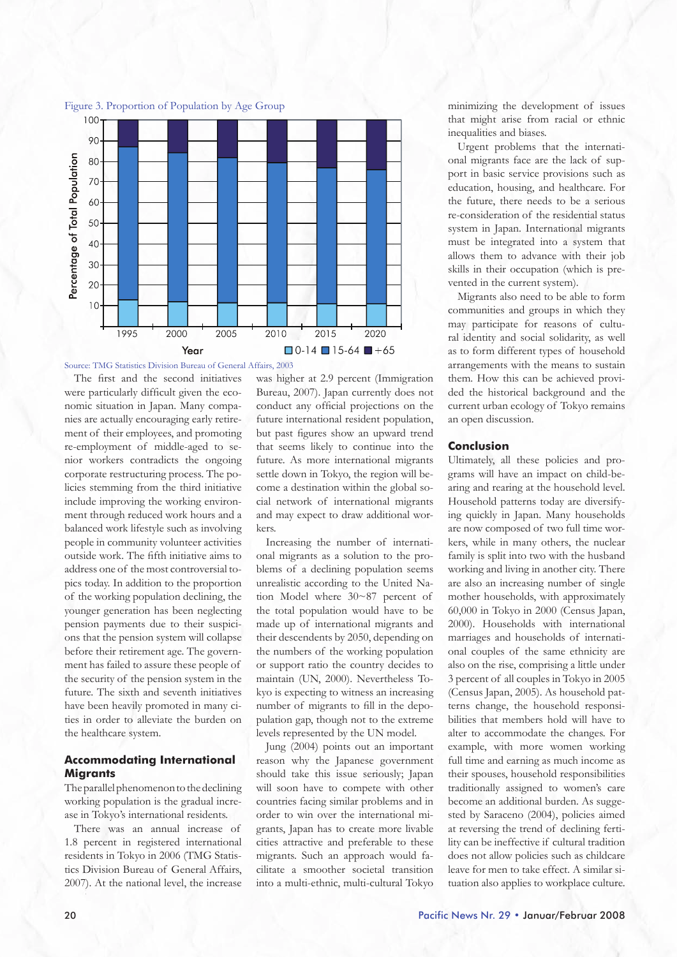



Source: TMG Statistics Division Bureau of General Affairs, 2003

The first and the second initiatives were particularly difficult given the economic situation in Japan. Many companies are actually encouraging early retirement of their employees, and promoting re-employment of middle-aged to senior workers contradicts the ongoing corporate restructuring process. The policies stemming from the third initiative include improving the working environment through reduced work hours and a balanced work lifestyle such as involving people in community volunteer activities outside work. The fifth initiative aims to address one of the most controversial topics today. In addition to the proportion of the working population declining, the younger generation has been neglecting pension payments due to their suspicions that the pension system will collapse before their retirement age. The government has failed to assure these people of the security of the pension system in the future. The sixth and seventh initiatives have been heavily promoted in many cities in order to alleviate the burden on the healthcare system.

## **Accommodating International Migrants**

The parallel phenomenon to the declining working population is the gradual increase in Tokyo's international residents.

There was an annual increase of 1.8 percent in registered international residents in Tokyo in 2006 (TMG Statistics Division Bureau of General Affairs, 2007). At the national level, the increase

was higher at 2.9 percent (Immigration Bureau, 2007). Japan currently does not conduct any official projections on the future international resident population, but past figures show an upward trend that seems likely to continue into the future. As more international migrants settle down in Tokyo, the region will become a destination within the global social network of international migrants and may expect to draw additional workers.

Increasing the number of international migrants as a solution to the problems of a declining population seems unrealistic according to the United Nation Model where 30~87 percent of the total population would have to be made up of international migrants and their descendents by 2050, depending on the numbers of the working population or support ratio the country decides to maintain (UN, 2000). Nevertheless Tokyo is expecting to witness an increasing number of migrants to fill in the depopulation gap, though not to the extreme levels represented by the UN model.

Jung (2004) points out an important reason why the Japanese government should take this issue seriously; Japan will soon have to compete with other countries facing similar problems and in order to win over the international migrants, Japan has to create more livable cities attractive and preferable to these migrants. Such an approach would facilitate a smoother societal transition into a multi-ethnic, multi-cultural Tokyo minimizing the development of issues that might arise from racial or ethnic inequalities and biases.

Urgent problems that the international migrants face are the lack of support in basic service provisions such as education, housing, and healthcare. For the future, there needs to be a serious re-consideration of the residential status system in Japan. International migrants must be integrated into a system that allows them to advance with their job skills in their occupation (which is prevented in the current system).

Migrants also need to be able to form communities and groups in which they may participate for reasons of cultural identity and social solidarity, as well as to form different types of household arrangements with the means to sustain them. How this can be achieved provided the historical background and the current urban ecology of Tokyo remains an open discussion.

#### **Conclusion**

Ultimately, all these policies and programs will have an impact on child-bearing and rearing at the household level. Household patterns today are diversifying quickly in Japan. Many households are now composed of two full time workers, while in many others, the nuclear family is split into two with the husband working and living in another city. There are also an increasing number of single mother households, with approximately 60,000 in Tokyo in 2000 (Census Japan, 2000). Households with international marriages and households of international couples of the same ethnicity are also on the rise, comprising a little under 3 percent of all couples in Tokyo in 2005 (Census Japan, 2005). As household patterns change, the household responsibilities that members hold will have to alter to accommodate the changes. For example, with more women working full time and earning as much income as their spouses, household responsibilities traditionally assigned to women's care become an additional burden. As suggested by Saraceno (2004), policies aimed at reversing the trend of declining fertility can be ineffective if cultural tradition does not allow policies such as childcare leave for men to take effect. A similar situation also applies to workplace culture.